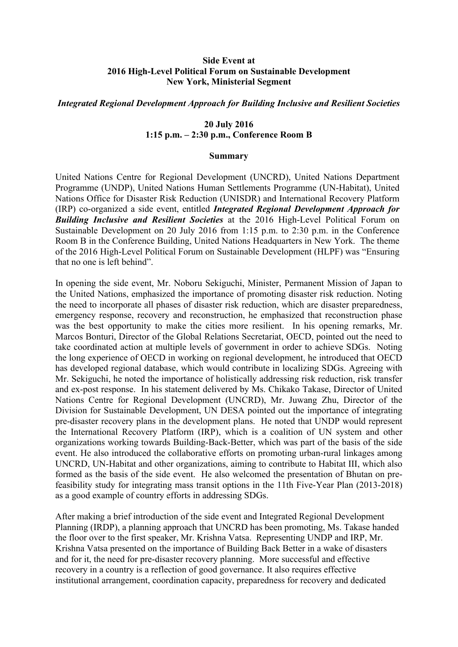## **Side Event at 2016 High-Level Political Forum on Sustainable Development New York, Ministerial Segment**

## *Integrated Regional Development Approach for Building Inclusive and Resilient Societies*

## **20 July 2016 1:15 p.m. – 2:30 p.m., Conference Room B**

## **Summary**

United Nations Centre for Regional Development (UNCRD), United Nations Department Programme (UNDP), United Nations Human Settlements Programme (UN-Habitat), United Nations Office for Disaster Risk Reduction (UNISDR) and International Recovery Platform (IRP) co-organized a side event, entitled *Integrated Regional Development Approach for Building Inclusive and Resilient Societies* at the 2016 High-Level Political Forum on Sustainable Development on 20 July 2016 from 1:15 p.m. to 2:30 p.m. in the Conference Room B in the Conference Building, United Nations Headquarters in New York. The theme of the 2016 High-Level Political Forum on Sustainable Development (HLPF) was "Ensuring that no one is left behind".

In opening the side event, Mr. Noboru Sekiguchi, Minister, Permanent Mission of Japan to the United Nations, emphasized the importance of promoting disaster risk reduction. Noting the need to incorporate all phases of disaster risk reduction, which are disaster preparedness, emergency response, recovery and reconstruction, he emphasized that reconstruction phase was the best opportunity to make the cities more resilient. In his opening remarks, Mr. Marcos Bonturi, Director of the Global Relations Secretariat, OECD, pointed out the need to take coordinated action at multiple levels of government in order to achieve SDGs. Noting the long experience of OECD in working on regional development, he introduced that OECD has developed regional database, which would contribute in localizing SDGs. Agreeing with Mr. Sekiguchi, he noted the importance of holistically addressing risk reduction, risk transfer and ex-post response. In his statement delivered by Ms. Chikako Takase, Director of United Nations Centre for Regional Development (UNCRD), Mr. Juwang Zhu, Director of the Division for Sustainable Development, UN DESA pointed out the importance of integrating pre-disaster recovery plans in the development plans. He noted that UNDP would represent the International Recovery Platform (IRP), which is a coalition of UN system and other organizations working towards Building-Back-Better, which was part of the basis of the side event. He also introduced the collaborative efforts on promoting urban-rural linkages among UNCRD, UN-Habitat and other organizations, aiming to contribute to Habitat III, which also formed as the basis of the side event. He also welcomed the presentation of Bhutan on prefeasibility study for integrating mass transit options in the 11th Five-Year Plan (2013-2018) as a good example of country efforts in addressing SDGs.

After making a brief introduction of the side event and Integrated Regional Development Planning (IRDP), a planning approach that UNCRD has been promoting, Ms. Takase handed the floor over to the first speaker, Mr. Krishna Vatsa. Representing UNDP and IRP, Mr. Krishna Vatsa presented on the importance of Building Back Better in a wake of disasters and for it, the need for pre-disaster recovery planning. More successful and effective recovery in a country is a reflection of good governance. It also requires effective institutional arrangement, coordination capacity, preparedness for recovery and dedicated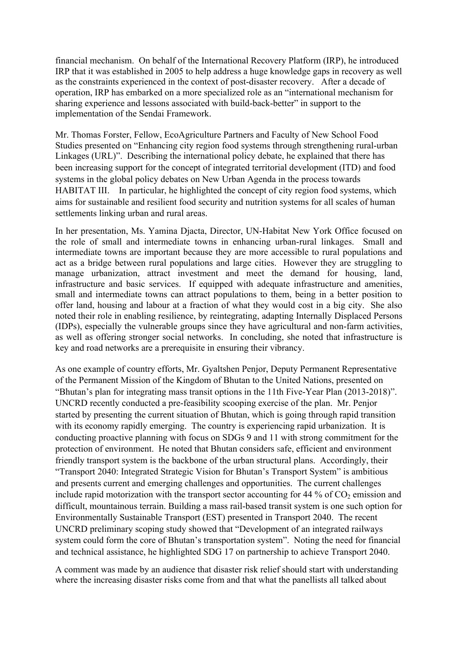financial mechanism. On behalf of the International Recovery Platform (IRP), he introduced IRP that it was established in 2005 to help address a huge knowledge gaps in recovery as well as the constraints experienced in the context of post-disaster recovery. After a decade of operation, IRP has embarked on a more specialized role as an "international mechanism for sharing experience and lessons associated with build-back-better" in support to the implementation of the Sendai Framework.

Mr. Thomas Forster, Fellow, EcoAgriculture Partners and Faculty of New School Food Studies presented on "Enhancing city region food systems through strengthening rural-urban Linkages (URL)". Describing the international policy debate, he explained that there has been increasing support for the concept of integrated territorial development (ITD) and food systems in the global policy debates on New Urban Agenda in the process towards HABITAT III. In particular, he highlighted the concept of city region food systems, which aims for sustainable and resilient food security and nutrition systems for all scales of human settlements linking urban and rural areas.

In her presentation, Ms. Yamina Djacta, Director, UN-Habitat New York Office focused on the role of small and intermediate towns in enhancing urban-rural linkages. Small and intermediate towns are important because they are more accessible to rural populations and act as a bridge between rural populations and large cities. However they are struggling to manage urbanization, attract investment and meet the demand for housing, land, infrastructure and basic services. If equipped with adequate infrastructure and amenities, small and intermediate towns can attract populations to them, being in a better position to offer land, housing and labour at a fraction of what they would cost in a big city. She also noted their role in enabling resilience, by reintegrating, adapting Internally Displaced Persons (IDPs), especially the vulnerable groups since they have agricultural and non-farm activities, as well as offering stronger social networks. In concluding, she noted that infrastructure is key and road networks are a prerequisite in ensuring their vibrancy.

As one example of country efforts, Mr. Gyaltshen Penjor, Deputy Permanent Representative of the Permanent Mission of the Kingdom of Bhutan to the United Nations, presented on "Bhutan's plan for integrating mass transit options in the 11th Five-Year Plan (2013-2018)". UNCRD recently conducted a pre-feasibility scooping exercise of the plan. Mr. Penjor started by presenting the current situation of Bhutan, which is going through rapid transition with its economy rapidly emerging. The country is experiencing rapid urbanization. It is conducting proactive planning with focus on SDGs 9 and 11 with strong commitment for the protection of environment. He noted that Bhutan considers safe, efficient and environment friendly transport system is the backbone of the urban structural plans. Accordingly, their "Transport 2040: Integrated Strategic Vision for Bhutan's Transport System" is ambitious and presents current and emerging challenges and opportunities. The current challenges include rapid motorization with the transport sector accounting for 44 % of  $CO<sub>2</sub>$  emission and difficult, mountainous terrain. Building a mass rail-based transit system is one such option for Environmentally Sustainable Transport (EST) presented in Transport 2040. The recent UNCRD preliminary scoping study showed that "Development of an integrated railways system could form the core of Bhutan's transportation system". Noting the need for financial and technical assistance, he highlighted SDG 17 on partnership to achieve Transport 2040.

A comment was made by an audience that disaster risk relief should start with understanding where the increasing disaster risks come from and that what the panellists all talked about